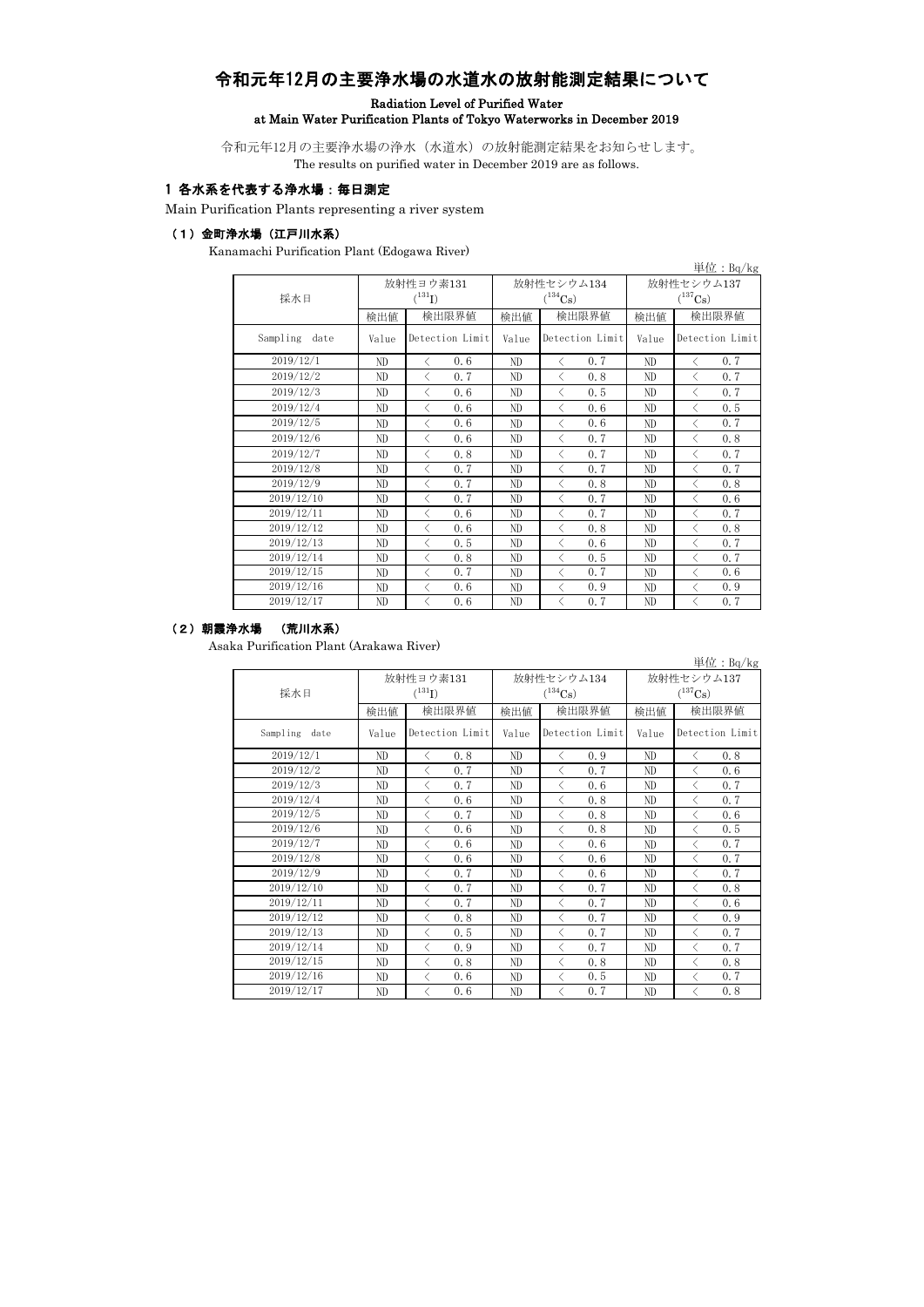# 令和元年12月の主要浄水場の水道水の放射能測定結果について

### Radiation Level of Purified Water at Main Water Purification Plants of Tokyo Waterworks in December 2019

令和元年12月の主要浄水場の浄水(水道水)の放射能測定結果をお知らせします。 The results on purified water in December 2019 are as follows.

# 1 各水系を代表する浄水場:毎日測定

Main Purification Plants representing a river system

### (1)金町浄水場(江戸川水系)

Kanamachi Purification Plant (Edogawa River)

|                  |       |                   |              |                   |                       | 単 <u>位:Bq/kg</u>                                |  |
|------------------|-------|-------------------|--------------|-------------------|-----------------------|-------------------------------------------------|--|
|                  |       | 放射性ヨウ素131         |              | 放射性セシウム134        | 放射性セシウム137            |                                                 |  |
| 採水日              |       | $(^{131}I)$       |              | $(^{134}Cs)$      | $(^{137}\mathrm{Cs})$ |                                                 |  |
|                  | 検出値   | 検出限界値             | 検出限界値<br>検出値 |                   | 検出値                   | 検出限界値                                           |  |
| Sampling<br>date | Value | Detection Limit   | Value        | Detection Limit   | Value                 | Detection Limit                                 |  |
| 2019/12/1        | ND.   | 0, 6<br>$\langle$ | ND           | 0.7<br>$\langle$  | ND                    | 0.7<br>✓                                        |  |
| 2019/12/2        | ND    | $\langle$<br>0, 7 | ND           | $\langle$<br>0.8  | ND.                   | $\langle$<br>0.7                                |  |
| 2019/12/3        | ND.   | 0, 6<br>$\langle$ | ND           | 0.5<br>$\langle$  | ND                    | 0.7<br>$\langle$                                |  |
| 2019/12/4        | ND.   | $\langle$<br>0, 6 | ND           | $\langle$<br>0.6  | ND                    | $\langle$<br>0, 5                               |  |
| 2019/12/5        | ND    | $\langle$<br>0, 6 | ND           | $\langle$<br>0.6  | ND                    | $\langle$<br>0.7                                |  |
| 2019/12/6        | ND.   | $\langle$<br>0, 6 | ND           | 0, 7<br>$\langle$ | ND                    | 0.8<br>$\langle$                                |  |
| 2019/12/7        | ND    | $\langle$<br>0.8  | ND           | $\langle$<br>0.7  | ND                    | $\langle$<br>0.7                                |  |
| 2019/12/8        | ND    | 0.7<br>$\langle$  | ND           | 0.7<br>$\langle$  | ND                    | 0.7<br>$\overline{\left\langle \right\rangle }$ |  |
| 2019/12/9        | ND    | 0.7<br>$\langle$  | ND           | 0.8<br>$\langle$  | ND                    | 0.8<br>$\langle$                                |  |
| 2019/12/10       | ND.   | 0, 7<br>$\langle$ | ND           | 0.7<br>$\langle$  | ND                    | 0.6<br>✓                                        |  |
| 2019/12/11       | ND    | $\langle$<br>0, 6 | ND           | $\langle$<br>0, 7 | ND                    | $\langle$<br>0.7                                |  |
| 2019/12/12       | ND    | 0, 6<br>$\langle$ | ND           | 0.8<br>⟨          | ND                    | $\overline{\left\langle \right\rangle }$<br>0.8 |  |
| 2019/12/13       | ND    | 0.5<br>$\langle$  | ND           | 0.6<br>$\langle$  | ND                    | 0.7<br>$\langle$                                |  |
| 2019/12/14       | ND    | 0.8<br>$\langle$  | ND           | 0.5<br>$\langle$  | ND                    | 0.7<br>$\langle$                                |  |
| 2019/12/15       | ND.   | $\langle$<br>0, 7 | ND           | 0, 7<br>ぐ         | ND.                   | 0.6<br>ぐ                                        |  |
| 2019/12/16       | ND.   | $\langle$<br>0.6  | ND           | $\langle$<br>0.9  | ND                    | $\langle$<br>0.9                                |  |
| 2019/12/17       | ND.   | 0.6<br>$\langle$  | ND           | 0.7<br>$\lt$      | ND                    | 0.7<br>$\langle$                                |  |

#### (2)朝霞浄水場 (荒川水系)

Asaka Purification Plant (Arakawa River)

|                  |       |                       |       |                       |              | 単 <u>位:Bq/kg</u>  |  |
|------------------|-------|-----------------------|-------|-----------------------|--------------|-------------------|--|
|                  |       | 放射性ヨウ素131             |       | 放射性セシウム134            | 放射性セシウム137   |                   |  |
| 採水日              |       | $(^{131}I)$           |       | $(^{134}\mathrm{Cs})$ | $(^{137}Cs)$ |                   |  |
|                  | 検出値   | 検出限界値<br>検出限界値<br>検出値 |       |                       | 検出値          | 検出限界値             |  |
| Sampling<br>date | Value | Detection Limit       | Value | Detection Limit       | Value        | Detection Limit   |  |
| 2019/12/1        | ND    | 0, 8<br>$\langle$     | ND    | 0.9<br>$\langle$      | ND           | 0.8<br>$\langle$  |  |
| 2019/12/2        | ND    | $\langle$<br>0.7      | ND    | $\lt$<br>0.7          | ND           | $\langle$<br>0.6  |  |
| 2019/12/3        | ND    | 0.7<br>$\langle$      | ND    | 0.6<br>$\lt$          | ND           | 0.7<br>$\langle$  |  |
| 2019/12/4        | ND    | $\langle$<br>0.6      | ND    | $\langle$<br>0.8      | ND.          | $\langle$<br>0.7  |  |
| 2019/12/5        | ND    | $\langle$<br>0, 7     | ND    | $\langle$<br>0.8      | ND.          | $\langle$<br>0.6  |  |
| 2019/12/6        | ND    | 0.6<br>✓              | ND    | 0.8<br>$\lt$          | ND           | 0.5<br>$\langle$  |  |
| 2019/12/7        | ND    | 0.6<br>$\langle$      | ND    | 0.6<br>$\langle$      | ND           | 0.7<br>$\langle$  |  |
| 2019/12/8        | ND    | $\langle$<br>0.6      | ND    | $\langle$<br>0.6      | ND           | $\langle$<br>0.7  |  |
| 2019/12/9        | ND    | $\langle$<br>0.7      | ND    | $\langle$<br>0.6      | ND           | $\langle$<br>0.7  |  |
| 2019/12/10       | ND    | $\langle$<br>0, 7     | ND    | 0, 7<br>$\langle$     | ND           | 0.8<br>$\langle$  |  |
| 2019/12/11       | ND.   | $\langle$<br>0.7      | ND    | $\langle$<br>0.7      | ND           | $\langle$<br>0.6  |  |
| 2019/12/12       | ND    | $\langle$<br>0, 8     | ND    | $\langle$<br>0, 7     | ND           | $\langle$<br>0.9  |  |
| 2019/12/13       | ND    | $\langle$<br>0, 5     | ND    | 0, 7<br>$\langle$     | ND           | $\langle$<br>0.7  |  |
| 2019/12/14       | ND    | $\langle$<br>0.9      | ND    | ⟨<br>0, 7             | ND.          | $\langle$<br>0, 7 |  |
| 2019/12/15       | ND    | $\langle$<br>0.8      | ND    | $\lt$<br>0, 8         | ND.          | $\langle$<br>0.8  |  |
| 2019/12/16       | ND    | $\langle$<br>0.6      | ND    | $\lt$<br>0.5          | ND           | $\langle$<br>0.7  |  |
| 2019/12/17       | ND    | 0.6<br>$\langle$      | ND    | 0.7<br>$\langle$      | ND           | 0.8<br>$\langle$  |  |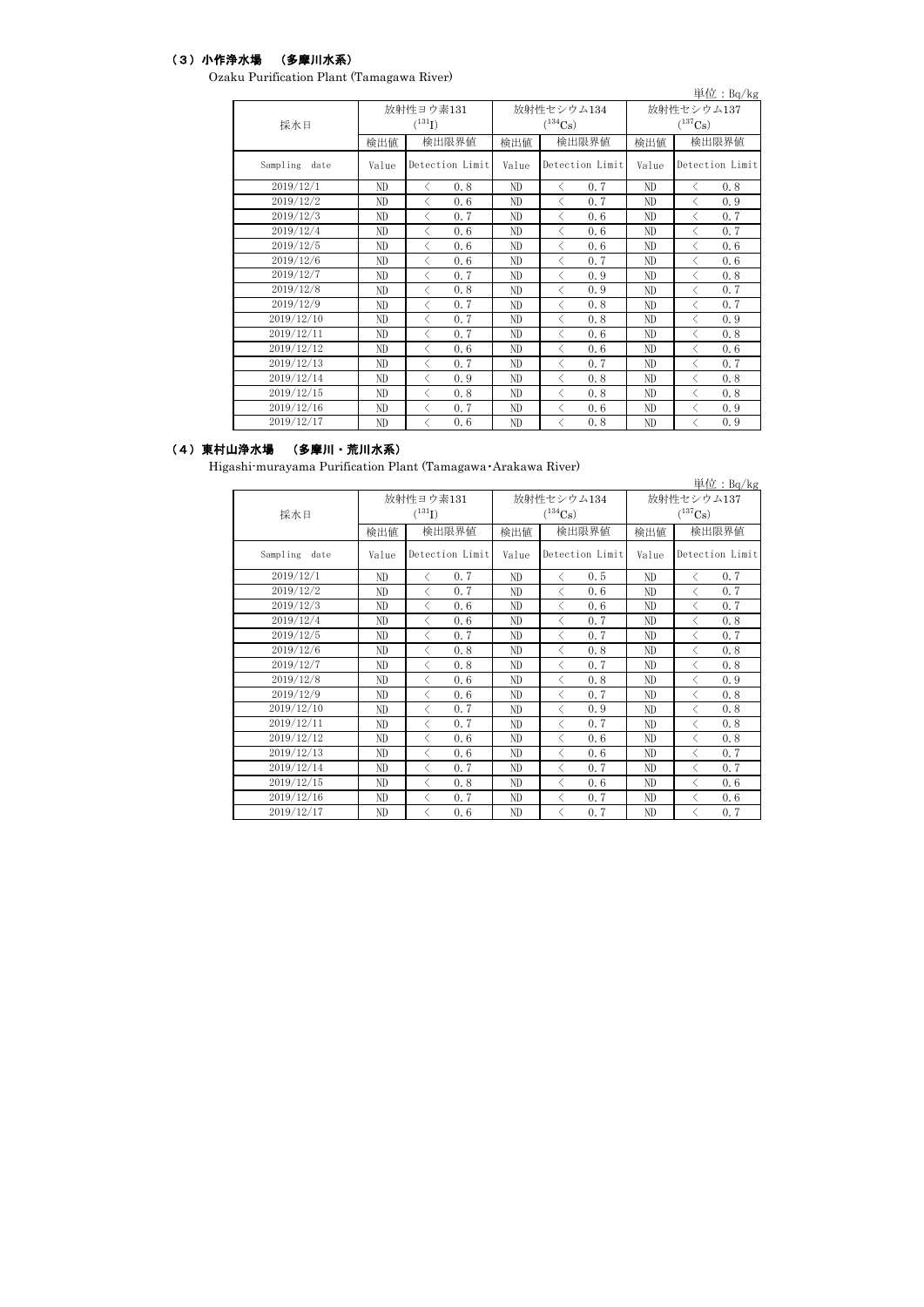# (3)小作浄水場 (多摩川水系)

Ozaku Purification Plant (Tamagawa River)

|                  |       | $\mathbf{R}$ . The $\mathbf{R}$ is the $\mathbf{R}$ is the set of $\mathbf{R}$ is the set of $\mathbf{R}$ |                       |                   |              | 単位: Bq/kg         |  |
|------------------|-------|-----------------------------------------------------------------------------------------------------------|-----------------------|-------------------|--------------|-------------------|--|
|                  |       | 放射性ヨウ素131                                                                                                 |                       | 放射性セシウム134        | 放射性セシウム137   |                   |  |
| 採水日              |       | $(^{131}I)$                                                                                               | $(^{134}\mathrm{Cs})$ |                   | $(^{137}Cs)$ |                   |  |
|                  | 検出値   | 検出限界値                                                                                                     | 検出値                   | 検出限界値<br>検出値      |              | 検出限界値             |  |
| Sampling<br>date | Value | Detection Limit                                                                                           | Value                 | Detection Limit   | Value        | Detection Limit   |  |
| 2019/12/1        | ND    | 0.8<br>$\langle$                                                                                          | ND                    | 0.7<br>$\langle$  | ND           | 0.8<br>$\langle$  |  |
| 2019/12/2        | ND    | 0, 6<br>$\langle$                                                                                         | ND                    | $\langle$<br>0.7  | ND           | 0.9<br>$\langle$  |  |
| 2019/12/3        | ND    | 0, 7<br>$\langle$                                                                                         | ND                    | 0.6<br>$\langle$  | ND           | 0.7<br>$\langle$  |  |
| 2019/12/4        | ND    | $\langle$<br>0, 6                                                                                         | ND.                   | $\langle$<br>0.6  | ND           | $\langle$<br>0, 7 |  |
| 2019/12/5        | ND    | 0, 6<br>✓                                                                                                 | ND                    | 0.6<br>✓          | ND           | $\langle$<br>0.6  |  |
| 2019/12/6        | ND    | 0.6<br>$\langle$                                                                                          | ND                    | 0, 7<br>$\langle$ | ND           | 0.6<br>$\langle$  |  |
| 2019/12/7        | ND    | 0, 7<br>$\langle$                                                                                         | ND                    | 0.9<br>$\lt$      | ND           | 0.8<br>$\langle$  |  |
| 2019/12/8        | ND    | $\langle$<br>0.8                                                                                          | ND                    | 0.9<br>$\langle$  | ND           | $\langle$<br>0.7  |  |
| 2019/12/9        | ND    | $\langle$<br>0.7                                                                                          | ND                    | 0.8<br>$\langle$  | ND           | $\langle$<br>0.7  |  |
| 2019/12/10       | ND    | 0, 7<br>$\langle$                                                                                         | ND                    | 0.8<br>$\langle$  | ND           | 0.9<br>$\langle$  |  |
| 2019/12/11       | ND    | $\langle$<br>0, 7                                                                                         | ND                    | $\langle$<br>0.6  | ND           | $\langle$<br>0.8  |  |
| 2019/12/12       | ND    | 0, 6<br>$\langle$                                                                                         | ND                    | $\langle$<br>0.6  | ND           | $\langle$<br>0.6  |  |
| 2019/12/13       | ND    | 0, 7<br>$\langle$                                                                                         | ND                    | 0.7<br>$\langle$  | ND           | 0.7<br>$\langle$  |  |
| 2019/12/14       | ND    | 0.9<br>$\langle$                                                                                          | ND                    | 0.8<br>$\langle$  | ND           | 0.8<br>$\langle$  |  |
| 2019/12/15       | ND    | $\langle$<br>0.8                                                                                          | ND                    | $\langle$<br>0.8  | ND           | $\langle$<br>0.8  |  |
| 2019/12/16       | ND    | 0.7<br>$\langle$                                                                                          | ND                    | 0.6<br>$\lt$      | ND           | $\langle$<br>0.9  |  |
| 2019/12/17       | ND    | 0.6<br>$\langle$                                                                                          | ND                    | 0.8<br>✓          | ND           | 0.9<br>$\langle$  |  |

### (4)東村山浄水場 (多摩川・荒川水系)

Higashi-murayama Purification Plant (Tamagawa・Arakawa River)

|                  |       |                                                  |       |                                     |                                     | 単位: $Bq/kg$                                     |  |
|------------------|-------|--------------------------------------------------|-------|-------------------------------------|-------------------------------------|-------------------------------------------------|--|
| 採水日              |       | 放射性ヨウ素131<br>$(^{131}I)$                         |       | 放射性セシウム134<br>$(^{134}\mathrm{Cs})$ | 放射性セシウム137<br>$(^{137}\mathrm{Cs})$ |                                                 |  |
|                  | 検出値   | 検出限界値                                            | 検出値   | 検出限界値                               | 検出値                                 | 検出限界値                                           |  |
| Sampling<br>date | Value | Detection Limit                                  | Value | Detection Limit                     | Value                               | Detection Limit                                 |  |
| 2019/12/1        | ND    | 0, 7<br>$\langle$                                | ND    | 0.5<br>$\langle$                    | ND.                                 | $\langle$<br>0.7                                |  |
| 2019/12/2        | ND    | 0, 7<br>$\langle$                                | ND    | 0.6<br>$\langle$                    | ND                                  | 0.7<br>$\overline{\left\langle \right\rangle }$ |  |
| 2019/12/3        | ND    | $\overline{\left\langle \right\rangle }$<br>0, 6 | ND    | $\langle$<br>0.6                    | ND                                  | $\lt$<br>0.7                                    |  |
| 2019/12/4        | ND    | $\langle$<br>0, 6                                | ND    | $\langle$<br>0, 7                   | ND                                  | $\langle$<br>0.8                                |  |
| 2019/12/5        | ND    | 0, 7<br>ぐ                                        | ND    | 0.7<br>$\langle$                    | ND                                  | 0.7<br>ぐ                                        |  |
| 2019/12/6        | ND    | $\langle$<br>0, 8                                | ND    | $\langle$<br>0.8                    | ND                                  | $\overline{\left\langle \right\rangle }$<br>0.8 |  |
| 2019/12/7        | ND    | 0.8<br>$\langle$                                 | ND    | 0.7<br>$\langle$                    | ND                                  | 0.8<br>$\langle$                                |  |
| 2019/12/8        | ND    | $\langle$<br>0.6                                 | ND    | $\lt$<br>0.8                        | ND                                  | $\langle$<br>0.9                                |  |
| 2019/12/9        | ND    | 0, 6<br>$\langle$                                | ND    | 0.7<br>$\lt$                        | ND                                  | 0.8<br>$\overline{\left\langle \right\rangle }$ |  |
| 2019/12/10       | ND    | $\langle$<br>0, 7                                | ND.   | $\langle$<br>0.9                    | ND.                                 | ぐ<br>0.8                                        |  |
| 2019/12/11       | ND    | $\langle$<br>0.7                                 | ND    | $\langle$<br>0.7                    | ND                                  | $\overline{\left\langle \right\rangle }$<br>0.8 |  |
| 2019/12/12       | ND    | 0, 6<br>✓                                        | ND    | 0.6<br>$\langle$                    | ND                                  | 0.8<br>✓                                        |  |
| 2019/12/13       | ND    | $\langle$<br>0.6                                 | ND    | $\lt$<br>0.6                        | ND                                  | $\langle$<br>0.7                                |  |
| 2019/12/14       | ND    | $\langle$<br>0.7                                 | ND    | $\lt$<br>0.7                        | ND                                  | $\langle$<br>0.7                                |  |
| 2019/12/15       | ND    | 0.8<br>$\overline{\left\langle \right\rangle }$  | ND    | $\langle$<br>0.6                    | ND                                  | $\overline{\left\langle \right\rangle }$<br>0.6 |  |
| 2019/12/16       | ND    | 0, 7<br>$\langle$                                | ND.   | 0.7<br>$\langle$                    | ND.                                 | 0.6<br>$\langle$                                |  |
| 2019/12/17       | ND    | $\langle$<br>0.6                                 | ND    | $\langle$<br>0.7                    | ND                                  | $\overline{\left\langle \right\rangle }$<br>0.7 |  |